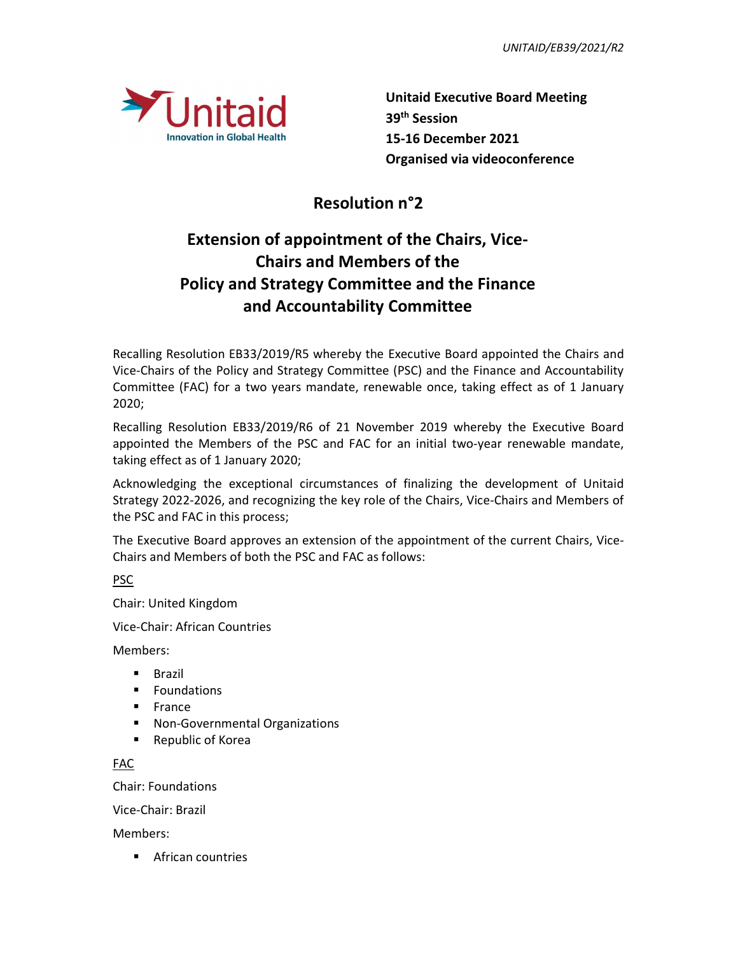

Unitaid Executive Board Meeting Innovation in Global Health 15-16 December 2021 Organised via videoconference

## **Resolution n°2**

## Extension of appointment of the Chairs, Vice-Chairs and Members of the Policy and Strategy Committee and the Finance and Accountability Committee

Recalling Resolution EB33/2019/R5 whereby the Executive Board appointed the Chairs and Vice-Chairs of the Policy and Strategy Committee (PSC) and the Finance and Accountability Committee (FAC) for a two years mandate, renewable once, taking effect as of 1 January 2020;

Recalling Resolution EB33/2019/R6 of 21 November 2019 whereby the Executive Board appointed the Members of the PSC and FAC for an initial two-year renewable mandate, taking effect as of 1 January 2020;

Acknowledging the exceptional circumstances of finalizing the development of Unitaid Strategy 2022-2026, and recognizing the key role of the Chairs, Vice-Chairs and Members of the PSC and FAC in this process;

The Executive Board approves an extension of the appointment of the current Chairs, Vice-Chairs and Members of both the PSC and FAC as follows:

PSC

Chair: United Kingdom

Vice-Chair: African Countries

Members:

- **Brazil**
- **Foundations**
- **France**
- **Non-Governmental Organizations**
- **Republic of Korea**

FAC

Chair: Foundations

Vice-Chair: Brazil

Members:

**African countries**